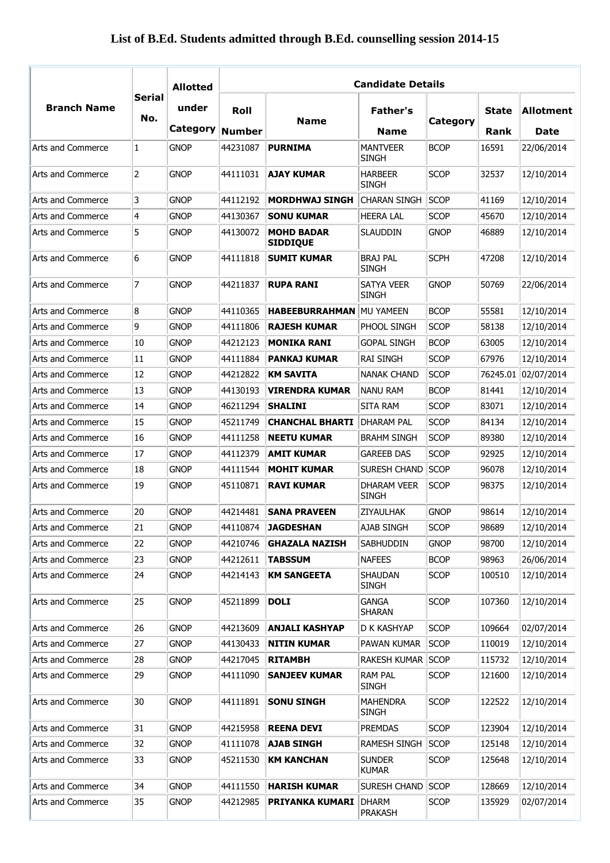## **List of B.Ed. Students admitted through B.Ed. counselling session 2014-15**

|                    |                      | <b>Allotted</b>   | <b>Candidate Details</b> |                                      |                                                |             |                      |                   |
|--------------------|----------------------|-------------------|--------------------------|--------------------------------------|------------------------------------------------|-------------|----------------------|-------------------|
| <b>Branch Name</b> | <b>Serial</b><br>No. | under<br>Category | Roll<br><b>Number</b>    | <b>Name</b>                          | Father's<br><b>Name</b>                        | Category    | <b>State</b><br>Rank | Allotment<br>Date |
| Arts and Commerce  | 1                    | <b>GNOP</b>       | 44231087                 | <b>PURNIMA</b>                       | <b>MANTVEER</b>                                | <b>BCOP</b> | 16591                | 22/06/2014        |
| Arts and Commerce  | $\overline{2}$       | <b>GNOP</b>       | 44111031                 | <b>AJAY KUMAR</b>                    | <b>SINGH</b><br><b>HARBEER</b><br><b>SINGH</b> | <b>SCOP</b> | 32537                | 12/10/2014        |
| Arts and Commerce  | 3                    | <b>GNOP</b>       | 44112192                 | <b>MORDHWAJ SINGH</b>                | <b>CHARAN SINGH</b>                            | <b>SCOP</b> | 41169                | 12/10/2014        |
| Arts and Commerce  | 4                    | <b>GNOP</b>       | 44130367                 | <b>SONU KUMAR</b>                    | <b>HEERA LAL</b>                               | <b>SCOP</b> | 45670                | 12/10/2014        |
| Arts and Commerce  | 5                    | <b>GNOP</b>       | 44130072                 | <b>MOHD BADAR</b><br><b>SIDDIQUE</b> | <b>SLAUDDIN</b>                                | <b>GNOP</b> | 46889                | 12/10/2014        |
| Arts and Commerce  | 6                    | <b>GNOP</b>       | 44111818                 | <b>SUMIT KUMAR</b>                   | <b>BRAJ PAL</b><br><b>SINGH</b>                | <b>SCPH</b> | 47208                | 12/10/2014        |
| Arts and Commerce  | 7                    | <b>GNOP</b>       | 44211837                 | <b>RUPA RANI</b>                     | <b>SATYA VEER</b><br><b>SINGH</b>              | <b>GNOP</b> | 50769                | 22/06/2014        |
| Arts and Commerce  | 8                    | <b>GNOP</b>       | 44110365                 | <b>HABEEBURRAHMAN</b>                | MU YAMEEN                                      | <b>BCOP</b> | 55581                | 12/10/2014        |
| Arts and Commerce  | 9                    | <b>GNOP</b>       | 44111806                 | <b>RAJESH KUMAR</b>                  | PHOOL SINGH                                    | <b>SCOP</b> | 58138                | 12/10/2014        |
| Arts and Commerce  | 10                   | <b>GNOP</b>       | 44212123                 | <b>MONIKA RANI</b>                   | <b>GOPAL SINGH</b>                             | <b>BCOP</b> | 63005                | 12/10/2014        |
| Arts and Commerce  | 11                   | <b>GNOP</b>       | 44111884                 | <b>PANKAJ KUMAR</b>                  | <b>RAI SINGH</b>                               | <b>SCOP</b> | 67976                | 12/10/2014        |
| Arts and Commerce  | 12                   | <b>GNOP</b>       | 44212822                 | <b>KM SAVITA</b>                     | <b>NANAK CHAND</b>                             | <b>SCOP</b> | 76245.01             | 02/07/2014        |
| Arts and Commerce  | 13                   | <b>GNOP</b>       | 44130193                 | <b>VIRENDRA KUMAR</b>                | <b>NANU RAM</b>                                | <b>BCOP</b> | 81441                | 12/10/2014        |
| Arts and Commerce  | 14                   | <b>GNOP</b>       | 46211294                 | <b>SHALINI</b>                       | <b>SITA RAM</b>                                | <b>SCOP</b> | 83071                | 12/10/2014        |
| Arts and Commerce  | 15                   | <b>GNOP</b>       | 45211749                 | <b>CHANCHAL BHARTI</b>               | DHARAM PAL                                     | <b>SCOP</b> | 84134                | 12/10/2014        |
| Arts and Commerce  | 16                   | <b>GNOP</b>       | 44111258                 | <b>NEETU KUMAR</b>                   | <b>BRAHM SINGH</b>                             | <b>SCOP</b> | 89380                | 12/10/2014        |
| Arts and Commerce  | 17                   | <b>GNOP</b>       | 44112379                 | <b>AMIT KUMAR</b>                    | <b>GAREEB DAS</b>                              | <b>SCOP</b> | 92925                | 12/10/2014        |
| Arts and Commerce  | 18                   | <b>GNOP</b>       | 44111544                 | <b>MOHIT KUMAR</b>                   | SURESH CHAND                                   | <b>SCOP</b> | 96078                | 12/10/2014        |
| Arts and Commerce  | 19                   | <b>GNOP</b>       | 45110871                 | <b>RAVI KUMAR</b>                    | <b>DHARAM VEER</b><br><b>SINGH</b>             | <b>SCOP</b> | 98375                | 12/10/2014        |
| Arts and Commerce  | 20                   | <b>GNOP</b>       | 44214481                 | <b>SANA PRAVEEN</b>                  | ZIYAULHAK                                      | <b>GNOP</b> | 98614                | 12/10/2014        |
| Arts and Commerce  | 21                   | <b>GNOP</b>       | 44110874                 | <b>JAGDESHAN</b>                     | AJAB SINGH                                     | <b>SCOP</b> | 98689                | 12/10/2014        |
| Arts and Commerce  | 22                   | <b>GNOP</b>       | 44210746                 | <b>GHAZALA NAZISH</b>                | <b>SABHUDDIN</b>                               | <b>GNOP</b> | 98700                | 12/10/2014        |
| Arts and Commerce  | 23                   | <b>GNOP</b>       | 44212611                 | <b>TABSSUM</b>                       | <b>NAFEES</b>                                  | <b>BCOP</b> | 98963                | 26/06/2014        |
| Arts and Commerce  | 24                   | <b>GNOP</b>       | 44214143                 | <b>KM SANGEETA</b>                   | <b>SHAUDAN</b><br><b>SINGH</b>                 | <b>SCOP</b> | 100510               | 12/10/2014        |
| Arts and Commerce  | 25                   | <b>GNOP</b>       | 45211899                 | <b>DOLI</b>                          | <b>GANGA</b><br>SHARAN                         | <b>SCOP</b> | 107360               | 12/10/2014        |
| Arts and Commerce  | 26                   | <b>GNOP</b>       | 44213609                 | <b>ANJALI KASHYAP</b>                | D K KASHYAP                                    | <b>SCOP</b> | 109664               | 02/07/2014        |
| Arts and Commerce  | 27                   | <b>GNOP</b>       | 44130433                 | <b>NITIN KUMAR</b>                   | PAWAN KUMAR                                    | <b>SCOP</b> | 110019               | 12/10/2014        |
| Arts and Commerce  | 28                   | <b>GNOP</b>       | 44217045                 | <b>RITAMBH</b>                       | <b>RAKESH KUMAR</b>                            | <b>SCOP</b> | 115732               | 12/10/2014        |
| Arts and Commerce  | 29                   | <b>GNOP</b>       | 44111090                 | <b>SANJEEV KUMAR</b>                 | <b>RAM PAL</b><br><b>SINGH</b>                 | <b>SCOP</b> | 121600               | 12/10/2014        |
| Arts and Commerce  | 30                   | <b>GNOP</b>       | 44111891                 | <b>SONU SINGH</b>                    | <b>MAHENDRA</b><br><b>SINGH</b>                | <b>SCOP</b> | 122522               | 12/10/2014        |
| Arts and Commerce  | 31                   | <b>GNOP</b>       | 44215958                 | <b>REENA DEVI</b>                    | <b>PREMDAS</b>                                 | <b>SCOP</b> | 123904               | 12/10/2014        |
| Arts and Commerce  | 32                   | <b>GNOP</b>       | 41111078                 | <b>AJAB SINGH</b>                    | <b>RAMESH SINGH</b>                            | <b>SCOP</b> | 125148               | 12/10/2014        |
| Arts and Commerce  | 33                   | <b>GNOP</b>       | 45211530                 | <b>KM KANCHAN</b>                    | <b>SUNDER</b><br><b>KUMAR</b>                  | <b>SCOP</b> | 125648               | 12/10/2014        |
| Arts and Commerce  | 34                   | <b>GNOP</b>       | 44111550                 | <b>HARISH KUMAR</b>                  | SURESH CHAND                                   | <b>SCOP</b> | 128669               | 12/10/2014        |
| Arts and Commerce  | 35                   | <b>GNOP</b>       | 44212985                 | <b>PRIYANKA KUMARI</b>               | <b>DHARM</b><br>PRAKASH                        | <b>SCOP</b> | 135929               | 02/07/2014        |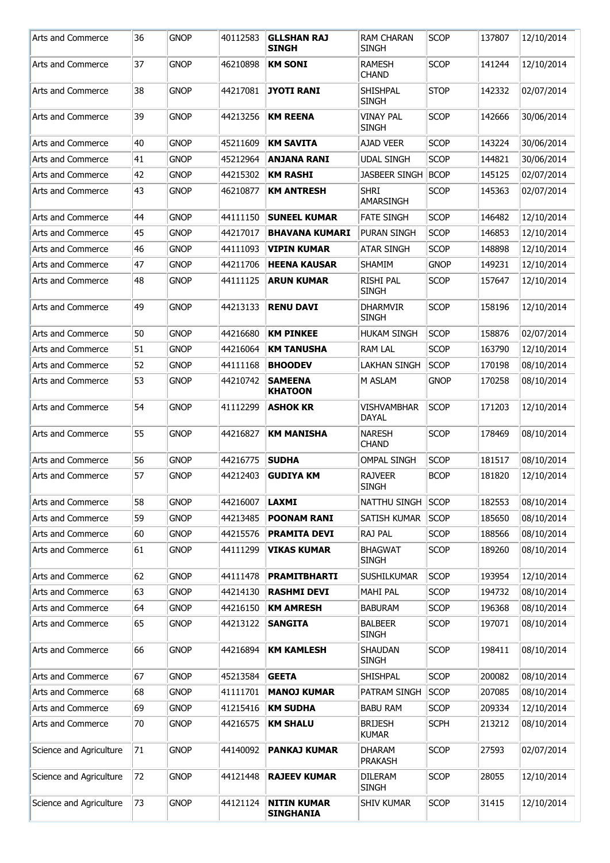| Arts and Commerce       | 36 | <b>GNOP</b> | 40112583 | <b>GLLSHAN RAJ</b><br><b>SINGH</b>     | <b>RAM CHARAN</b><br><b>SINGH</b>  | <b>SCOP</b> | 137807 | 12/10/2014 |
|-------------------------|----|-------------|----------|----------------------------------------|------------------------------------|-------------|--------|------------|
| Arts and Commerce       | 37 | <b>GNOP</b> | 46210898 | <b>KM SONI</b>                         | <b>RAMESH</b><br><b>CHAND</b>      | <b>SCOP</b> | 141244 | 12/10/2014 |
| Arts and Commerce       | 38 | <b>GNOP</b> | 44217081 | <b>JYOTI RANI</b>                      | SHISHPAL<br><b>SINGH</b>           | <b>STOP</b> | 142332 | 02/07/2014 |
| Arts and Commerce       | 39 | <b>GNOP</b> | 44213256 | <b>KM REENA</b>                        | <b>VINAY PAL</b><br><b>SINGH</b>   | <b>SCOP</b> | 142666 | 30/06/2014 |
| Arts and Commerce       | 40 | <b>GNOP</b> | 45211609 | <b>KM SAVITA</b>                       | <b>AJAD VEER</b>                   | <b>SCOP</b> | 143224 | 30/06/2014 |
| Arts and Commerce       | 41 | <b>GNOP</b> | 45212964 | <b>ANJANA RANI</b>                     | <b>UDAL SINGH</b>                  | <b>SCOP</b> | 144821 | 30/06/2014 |
| Arts and Commerce       | 42 | <b>GNOP</b> | 44215302 | <b>KM RASHI</b>                        | <b>JASBEER SINGH</b>               | <b>BCOP</b> | 145125 | 02/07/2014 |
| Arts and Commerce       | 43 | <b>GNOP</b> | 46210877 | <b>KM ANTRESH</b>                      | <b>SHRI</b><br>AMARSINGH           | <b>SCOP</b> | 145363 | 02/07/2014 |
| Arts and Commerce       | 44 | <b>GNOP</b> | 44111150 | <b>SUNEEL KUMAR</b>                    | <b>FATE SINGH</b>                  | <b>SCOP</b> | 146482 | 12/10/2014 |
| Arts and Commerce       | 45 | <b>GNOP</b> | 44217017 | <b>BHAVANA KUMARI</b>                  | <b>PURAN SINGH</b>                 | <b>SCOP</b> | 146853 | 12/10/2014 |
| Arts and Commerce       | 46 | <b>GNOP</b> | 44111093 | <b>VIPIN KUMAR</b>                     | <b>ATAR SINGH</b>                  | <b>SCOP</b> | 148898 | 12/10/2014 |
| Arts and Commerce       | 47 | <b>GNOP</b> | 44211706 | <b>HEENA KAUSAR</b>                    | <b>SHAMIM</b>                      | <b>GNOP</b> | 149231 | 12/10/2014 |
| Arts and Commerce       | 48 | <b>GNOP</b> | 44111125 | <b>ARUN KUMAR</b>                      | <b>RISHI PAL</b><br><b>SINGH</b>   | <b>SCOP</b> | 157647 | 12/10/2014 |
| Arts and Commerce       | 49 | <b>GNOP</b> | 44213133 | <b>RENU DAVI</b>                       | <b>DHARMVIR</b><br><b>SINGH</b>    | <b>SCOP</b> | 158196 | 12/10/2014 |
| Arts and Commerce       | 50 | <b>GNOP</b> | 44216680 | <b>KM PINKEE</b>                       | <b>HUKAM SINGH</b>                 | <b>SCOP</b> | 158876 | 02/07/2014 |
| Arts and Commerce       | 51 | <b>GNOP</b> | 44216064 | <b>KM TANUSHA</b>                      | <b>RAM LAL</b>                     | <b>SCOP</b> | 163790 | 12/10/2014 |
| Arts and Commerce       | 52 | gnop        | 44111168 | <b>BHOODEV</b>                         | <b>LAKHAN SINGH</b>                | <b>SCOP</b> | 170198 | 08/10/2014 |
| Arts and Commerce       | 53 | <b>GNOP</b> | 44210742 | <b>SAMEENA</b><br><b>KHATOON</b>       | M ASLAM                            | <b>GNOP</b> | 170258 | 08/10/2014 |
| Arts and Commerce       | 54 | <b>GNOP</b> | 41112299 | <b>ASHOK KR</b>                        | <b>VISHVAMBHAR</b><br><b>DAYAL</b> | <b>SCOP</b> | 171203 | 12/10/2014 |
| Arts and Commerce       | 55 | <b>GNOP</b> | 44216827 | <b>KM MANISHA</b>                      | <b>NARESH</b><br><b>CHAND</b>      | <b>SCOP</b> | 178469 | 08/10/2014 |
| Arts and Commerce       | 56 | <b>GNOP</b> | 44216775 | <b>SUDHA</b>                           | <b>OMPAL SINGH</b>                 | <b>SCOP</b> | 181517 | 08/10/2014 |
| Arts and Commerce       | 57 | <b>GNOP</b> | 44212403 | <b>GUDIYA KM</b>                       | <b>RAJVEER</b><br><b>SINGH</b>     | <b>BCOP</b> | 181820 | 12/10/2014 |
| Arts and Commerce       | 58 | <b>GNOP</b> | 44216007 | <b>LAXMI</b>                           | NATTHU SINGH                       | <b>SCOP</b> | 182553 | 08/10/2014 |
| Arts and Commerce       | 59 | <b>GNOP</b> | 44213485 | <b>POONAM RANI</b>                     | SATISH KUMAR                       | <b>SCOP</b> | 185650 | 08/10/2014 |
| Arts and Commerce       | 60 | <b>GNOP</b> | 44215576 | <b>PRAMITA DEVI</b>                    | RAJ PAL                            | <b>SCOP</b> | 188566 | 08/10/2014 |
| Arts and Commerce       | 61 | <b>GNOP</b> | 44111299 | <b>VIKAS KUMAR</b>                     | <b>BHAGWAT</b><br><b>SINGH</b>     | <b>SCOP</b> | 189260 | 08/10/2014 |
| Arts and Commerce       | 62 | <b>GNOP</b> | 44111478 | <b>PRAMITBHARTI</b>                    | SUSHILKUMAR                        | <b>SCOP</b> | 193954 | 12/10/2014 |
| Arts and Commerce       | 63 | <b>GNOP</b> | 44214130 | <b>RASHMI DEVI</b>                     | <b>MAHI PAL</b>                    | <b>SCOP</b> | 194732 | 08/10/2014 |
| Arts and Commerce       | 64 | <b>GNOP</b> | 44216150 | <b>KM AMRESH</b>                       | <b>BABURAM</b>                     | <b>SCOP</b> | 196368 | 08/10/2014 |
| Arts and Commerce       | 65 | <b>GNOP</b> | 44213122 | <b>SANGITA</b>                         | <b>BALBEER</b><br><b>SINGH</b>     | <b>SCOP</b> | 197071 | 08/10/2014 |
| Arts and Commerce       | 66 | <b>GNOP</b> | 44216894 | <b>KM KAMLESH</b>                      | SHAUDAN<br><b>SINGH</b>            | <b>SCOP</b> | 198411 | 08/10/2014 |
| Arts and Commerce       | 67 | <b>GNOP</b> | 45213584 | <b>GEETA</b>                           | SHISHPAL                           | <b>SCOP</b> | 200082 | 08/10/2014 |
| Arts and Commerce       | 68 | <b>GNOP</b> | 41111701 | <b>MANOJ KUMAR</b>                     | PATRAM SINGH                       | <b>SCOP</b> | 207085 | 08/10/2014 |
| Arts and Commerce       | 69 | <b>GNOP</b> | 41215416 | <b>KM SUDHA</b>                        | <b>BABU RAM</b>                    | <b>SCOP</b> | 209334 | 12/10/2014 |
| Arts and Commerce       | 70 | <b>GNOP</b> | 44216575 | <b>KM SHALU</b>                        | <b>BRIJESH</b><br><b>KUMAR</b>     | <b>SCPH</b> | 213212 | 08/10/2014 |
| Science and Agriculture | 71 | <b>GNOP</b> | 44140092 | <b>PANKAJ KUMAR</b>                    | <b>DHARAM</b><br><b>PRAKASH</b>    | <b>SCOP</b> | 27593  | 02/07/2014 |
| Science and Agriculture | 72 | <b>GNOP</b> | 44121448 | <b>RAJEEV KUMAR</b>                    | <b>DILERAM</b><br><b>SINGH</b>     | <b>SCOP</b> | 28055  | 12/10/2014 |
| Science and Agriculture | 73 | <b>GNOP</b> | 44121124 | <b>NITIN KUMAR</b><br><b>SINGHANIA</b> | SHIV KUMAR                         | <b>SCOP</b> | 31415  | 12/10/2014 |